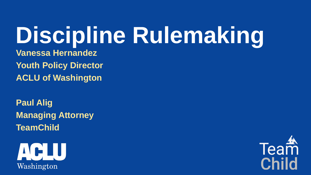# **Discipline Rulemaking**

**Vanessa Hernandez Youth Policy Director ACLU of Washington**

**Paul Alig Managing Attorney TeamChild**



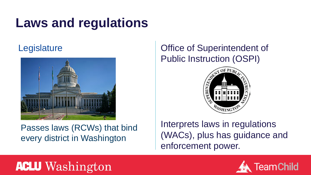#### **Laws and regulations**



Passes laws (RCWs) that bind every district in Washington

#### Legislature **Contract Contract Contract Contract Contract Contract Contract Contract Contract Contract Contract Contract Contract Contract Contract Contract Contract Contract Contract Contract Contract Contract Contract Co** Public Instruction (OSPI)



Interprets laws in regulations (WACs), plus has guidance and enforcement power.

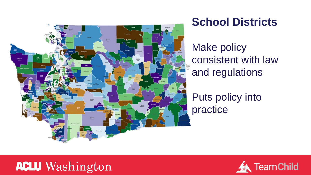

#### **School Districts**

Make policy consistent with law and regulations

Puts policy into practice

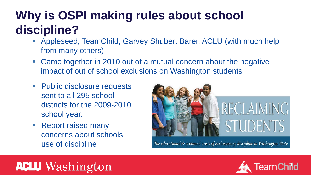#### **Why is OSPI making rules about school discipline?**

- Appleseed, TeamChild, Garvey Shubert Barer, ACLU (with much help from many others)
- Came together in 2010 out of a mutual concern about the negative impact of out of school exclusions on Washington students
- Public disclosure requests sent to all 295 school districts for the 2009-2010 school year.
- Report raised many concerns about schools use of discipline



The educational & economic costs of exclusionary discipline in Washington State

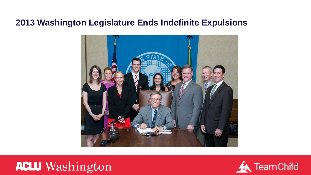#### **2013 Washington Legislature Ends Indefinite Expulsions**





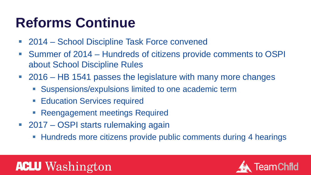# **Reforms Continue**

- 2014 School Discipline Task Force convened
- Summer of 2014 Hundreds of citizens provide comments to OSPI about School Discipline Rules
- 2016 HB 1541 passes the legislature with many more changes
	- Suspensions/expulsions limited to one academic term
	- Education Services required
	- **Reengagement meetings Required**
- 2017 OSPI starts rulemaking again
	- Hundreds more citizens provide public comments during 4 hearings

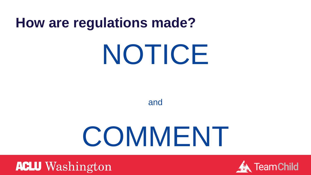#### **How are regulations made?**

# NOTICE

and

# COMMENT



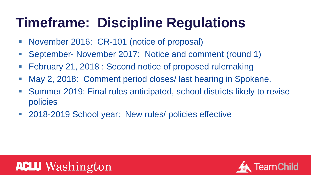# **Timeframe: Discipline Regulations**

- November 2016: CR-101 (notice of proposal)
- September- November 2017: Notice and comment (round 1)
- **February 21, 2018: Second notice of proposed rulemaking**
- May 2, 2018: Comment period closes/ last hearing in Spokane.
- Summer 2019: Final rules anticipated, school districts likely to revise policies
- 2018-2019 School year: New rules/ policies effective



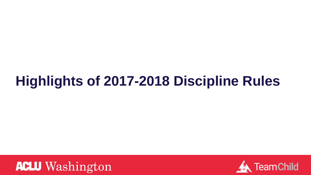### **Highlights of 2017-2018 Discipline Rules**



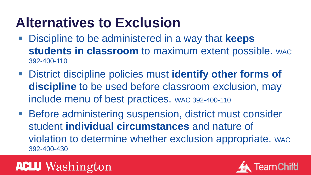# **Alternatives to Exclusion**

- Discipline to be administered in a way that **keeps students in classroom** to maximum extent possible. WAC 392-400-110
- District discipline policies must **identify other forms of discipline** to be used before classroom exclusion, may include menu of best practices. WAC 392-400-110
- Before administering suspension, district must consider student **individual circumstances** and nature of violation to determine whether exclusion appropriate. WAC 392-400-430

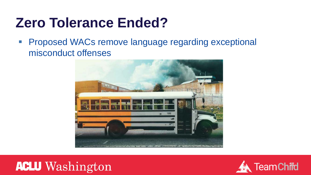### **Zero Tolerance Ended?**

**Proposed WACs remove language regarding exceptional** misconduct offenses





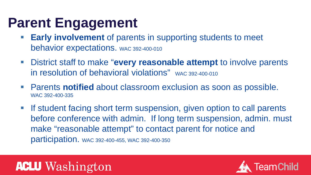#### **Parent Engagement**

- **Early involvement** of parents in supporting students to meet behavior expectations. WAC 392-400-010
- District staff to make "**every reasonable attempt** to involve parents in resolution of behavioral violations" wAC 392-400-010
- Parents **notified** about classroom exclusion as soon as possible. WAC 392-400-335
- **If student facing short term suspension, given option to call parents** before conference with admin. If long term suspension, admin. must make "reasonable attempt" to contact parent for notice and participation. WAC 392-400-455, WAC 392-400-350

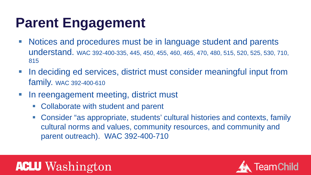### **Parent Engagement**

- Notices and procedures must be in language student and parents understand. WAC 392-400-335, 445, 450, 455, 460, 465, 470, 480, 515, 520, 525, 530, 710, 815
- **IF In deciding ed services, district must consider meaningful input from** family. WAC 392-400-610
- In reengagement meeting, district must
	- Collaborate with student and parent
	- Consider "as appropriate, students' cultural histories and contexts, family cultural norms and values, community resources, and community and parent outreach). WAC 392-400-710



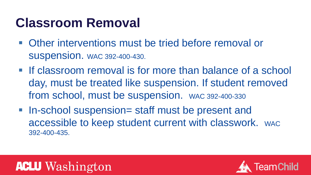#### **Classroom Removal**

- Other interventions must be tried before removal or suspension. WAC 392-400-430.
- **If classroom removal is for more than balance of a school** day, must be treated like suspension. If student removed from school, must be suspension. WAC 392-400-330
- In-school suspension= staff must be present and accessible to keep student current with classwork. WAC 392-400-435.

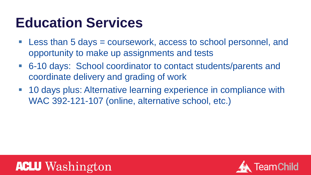### **Education Services**

- Less than 5 days = coursework, access to school personnel, and opportunity to make up assignments and tests
- 6-10 days: School coordinator to contact students/parents and coordinate delivery and grading of work
- 10 days plus: Alternative learning experience in compliance with WAC 392-121-107 (online, alternative school, etc.)



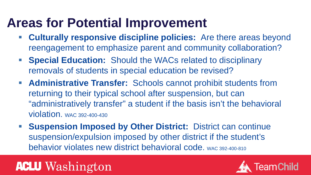#### **Areas for Potential Improvement**

- **Culturally responsive discipline policies:** Are there areas beyond reengagement to emphasize parent and community collaboration?
- **Special Education:** Should the WACs related to disciplinary removals of students in special education be revised?
- **Administrative Transfer:** Schools cannot prohibit students from returning to their typical school after suspension, but can "administratively transfer" a student if the basis isn't the behavioral violation. WAC 392-400-430
- **Suspension Imposed by Other District:** District can continue suspension/expulsion imposed by other district if the student's behavior violates new district behavioral code. WAC 392-400-810

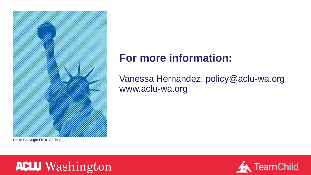

Photo Copyright Flickr-Via Tsuji

#### **For more information:**

#### Vanessa Hernandez: policy@aclu-wa.org www.aclu-wa.org